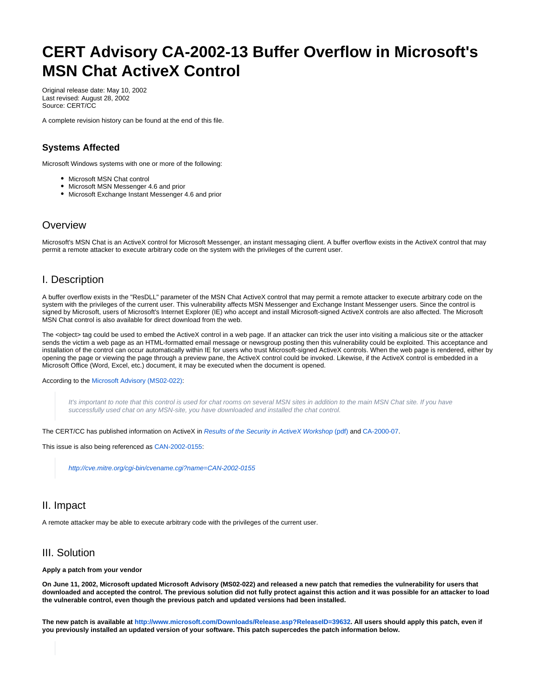# **CERT Advisory CA-2002-13 Buffer Overflow in Microsoft's MSN Chat ActiveX Control**

Original release date: May 10, 2002 Last revised: August 28, 2002 Source: CERT/CC

A complete revision history can be found at the end of this file.

#### **Systems Affected**

Microsoft Windows systems with one or more of the following:

- Microsoft MSN Chat control
- Microsoft MSN Messenger 4.6 and prior
- Microsoft Exchange Instant Messenger 4.6 and prior

## **Overview**

Microsoft's MSN Chat is an ActiveX control for Microsoft Messenger, an instant messaging client. A buffer overflow exists in the ActiveX control that may permit a remote attacker to execute arbitrary code on the system with the privileges of the current user.

#### I. Description

A buffer overflow exists in the "ResDLL" parameter of the MSN Chat ActiveX control that may permit a remote attacker to execute arbitrary code on the system with the privileges of the current user. This vulnerability affects MSN Messenger and Exchange Instant Messenger users. Since the control is signed by Microsoft, users of Microsoft's Internet Explorer (IE) who accept and install Microsoft-signed ActiveX controls are also affected. The Microsoft MSN Chat control is also available for direct download from the web.

The <object> tag could be used to embed the ActiveX control in a web page. If an attacker can trick the user into visiting a malicious site or the attacker sends the victim a web page as an HTML-formatted email message or newsgroup posting then this vulnerability could be exploited. This acceptance and installation of the control can occur automatically within IE for users who trust Microsoft-signed ActiveX controls. When the web page is rendered, either by opening the page or viewing the page through a preview pane, the ActiveX control could be invoked. Likewise, if the ActiveX control is embedded in a Microsoft Office (Word, Excel, etc.) document, it may be executed when the document is opened.

According to the [Microsoft Advisory \(MS02-022\)](http://www.microsoft.com/technet/treeview/default.asp?url=/technet/security/bulletin/MS02-022.asp):

It's important to note that this control is used for chat rooms on several MSN sites in addition to the main MSN Chat site. If you have successfully used chat on any MSN-site, you have downloaded and installed the chat control.

The CERT/CC has published information on ActiveX in [Results of the Security in ActiveX Workshop](http://www.cert.org/reports/activeX_report.pdf) (pdf) and [CA-2000-07.](http://www.cert.org/advisories/CA-2000-07.html)

This issue is also being referenced as [CAN-2002-0155:](http://cve.mitre.org/cgi-bin/cvename.cgi?name=CAN-2002-0155)

<http://cve.mitre.org/cgi-bin/cvename.cgi?name=CAN-2002-0155>

## II. Impact

A remote attacker may be able to execute arbitrary code with the privileges of the current user.

## III. Solution

#### **Apply a patch from your vendor**

**On June 11, 2002, Microsoft updated Microsoft Advisory (MS02-022) and released a new patch that remedies the vulnerability for users that downloaded and accepted the control. The previous solution did not fully protect against this action and it was possible for an attacker to load the vulnerable control, even though the previous patch and updated versions had been installed.**

**The new patch is available at<http://www.microsoft.com/Downloads/Release.asp?ReleaseID=39632>. All users should apply this patch, even if you previously installed an updated version of your software. This patch supercedes the patch information below.**